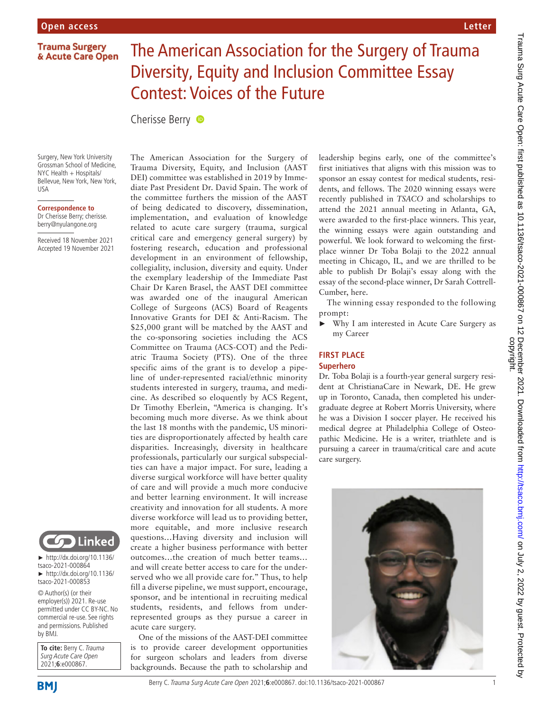### **Trauma Surgery** & Acute Care Open

# The American Association for the Surgery of Trauma Diversity, Equity and Inclusion Committee Essay Contest: Voices of the Future

Cherisse Berry **D** 

Surgery, New York University Grossman School of Medicine, NYC Health + Hospitals/ Bellevue, New York, New York, USA

**Correspondence to** Dr Cherisse Berry; cherisse.

berry@nyulangone.org

Received 18 November 2021 Accepted 19 November 2021



► [http://dx.doi.org/10.1136/](http://dx.doi.org/10.1136/tsaco-2021-000864) [tsaco-2021-000864](http://dx.doi.org/10.1136/tsaco-2021-000864) ► [http://dx.doi.org/10.1136/](http://dx.doi.org/10.1136/tsaco-2021-000853) [tsaco-2021-000853](http://dx.doi.org/10.1136/tsaco-2021-000853)

© Author(s) (or their employer(s)) 2021. Re-use permitted under CC BY-NC. No commercial re-use. See rights and permissions. Published by BMJ.

Surg Acute Care Open 2021;**6**:e000867.

**To cite:** Berry C. Trauma

Trauma Diversity, Equity, and Inclusion (AAST DEI) committee was established in 2019 by Immediate Past President Dr. David Spain. The work of the committee furthers the mission of the AAST of being dedicated to discovery, dissemination, implementation, and evaluation of knowledge related to acute care surgery (trauma, surgical critical care and emergency general surgery) by fostering research, education and professional development in an environment of fellowship, collegiality, inclusion, diversity and equity. Under the exemplary leadership of the Immediate Past Chair Dr Karen Brasel, the AAST DEI committee was awarded one of the inaugural American College of Surgeons (ACS) Board of Reagents Innovative Grants for DEI & Anti-Racism. The \$25,000 grant will be matched by the AAST and the co-sponsoring societies including the ACS Committee on Trauma (ACS-COT) and the Pediatric Trauma Society (PTS). One of the three specific aims of the grant is to develop a pipeline of under-represented racial/ethnic minority students interested in surgery, trauma, and medicine. As described so eloquently by ACS Regent, Dr Timothy Eberlein, "America is changing. It's becoming much more diverse. As we think about the last 18 months with the pandemic, US minorities are disproportionately affected by health care disparities. Increasingly, diversity in healthcare professionals, particularly our surgical subspecialties can have a major impact. For sure, leading a diverse surgical workforce will have better quality of care and will provide a much more conducive and better learning environment. It will increase creativity and innovation for all students. A more diverse workforce will lead us to providing better, more equitable, and more inclusive research questions…Having diversity and inclusion will create a higher business performance with better outcomes…the creation of much better teams… and will create better access to care for the underserved who we all provide care for." Thus, to help fill a diverse pipeline, we must support, encourage, sponsor, and be intentional in recruiting medical students, residents, and fellows from underrepresented groups as they pursue a career in acute care surgery.

The American Association for the Surgery of

One of the missions of the AAST-DEI committee is to provide career development opportunities for surgeon scholars and leaders from diverse backgrounds. Because the path to scholarship and

leadership begins early, one of the committee's first initiatives that aligns with this mission was to sponsor an essay contest for medical students, residents, and fellows. The 2020 winning essays were recently published in *TSACO* and scholarships to attend the 2021 annual meeting in Atlanta, GA, were awarded to the first-place winners. This year, the winning essays were again outstanding and powerful. We look forward to welcoming the firstplace winner Dr Toba Bolaji to the 2022 annual meeting in Chicago, IL, and we are thrilled to be able to publish Dr Bolaji's essay along with the essay of the second-place winner, Dr Sarah Cottrell-Cumber, here.

The winning essay responded to the following prompt:

► Why I am interested in Acute Care Surgery as my Career

## **FIRST PLACE Superhero**

Dr. Toba Bolaji is a fourth-year general surgery resident at ChristianaCare in Newark, DE. He grew up in Toronto, Canada, then completed his undergraduate degree at Robert Morris University, where he was a Division I soccer player. He received his medical degree at Philadelphia College of Osteopathic Medicine. He is a writer, triathlete and is pursuing a career in trauma/critical care and acute care surgery.



**Letter**